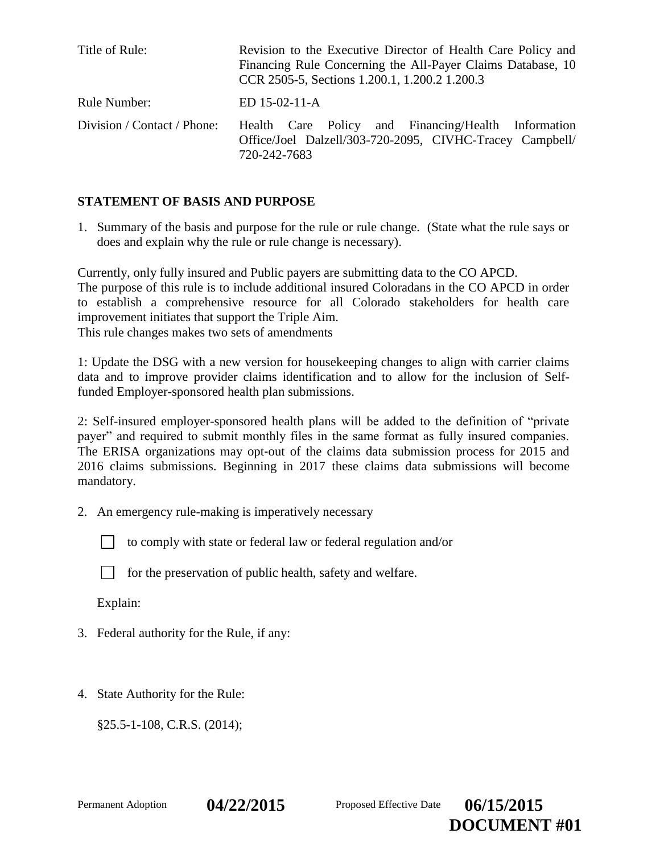| Title of Rule:              | Revision to the Executive Director of Health Care Policy and<br>Financing Rule Concerning the All-Payer Claims Database, 10<br>CCR 2505-5, Sections 1.200.1, 1.200.2 1.200.3 |
|-----------------------------|------------------------------------------------------------------------------------------------------------------------------------------------------------------------------|
| Rule Number:                | $ED 15-02-11-A$                                                                                                                                                              |
| Division / Contact / Phone: | Health Care Policy and Financing/Health Information<br>Office/Joel Dalzell/303-720-2095, CIVHC-Tracey Campbell/<br>720-242-7683                                              |

## **STATEMENT OF BASIS AND PURPOSE**

1. Summary of the basis and purpose for the rule or rule change. (State what the rule says or does and explain why the rule or rule change is necessary).

Currently, only fully insured and Public payers are submitting data to the CO APCD. The purpose of this rule is to include additional insured Coloradans in the CO APCD in order to establish a comprehensive resource for all Colorado stakeholders for health care improvement initiates that support the Triple Aim. This rule changes makes two sets of amendments

1: Update the DSG with a new version for housekeeping changes to align with carrier claims data and to improve provider claims identification and to allow for the inclusion of Selffunded Employer-sponsored health plan submissions.

2: Self-insured employer-sponsored health plans will be added to the definition of "private payer" and required to submit monthly files in the same format as fully insured companies. The ERISA organizations may opt-out of the claims data submission process for 2015 and 2016 claims submissions. Beginning in 2017 these claims data submissions will become mandatory.

2. An emergency rule-making is imperatively necessary

to comply with state or federal law or federal regulation and/or

for the preservation of public health, safety and welfare.

Explain:

- 3. Federal authority for the Rule, if any:
- 4. State Authority for the Rule:

§25.5-1-108, C.R.S. (2014);

Permanent Adoption **04/22/2015** Proposed Effective Date **06/15/2015** 

**DOCUMENT #01**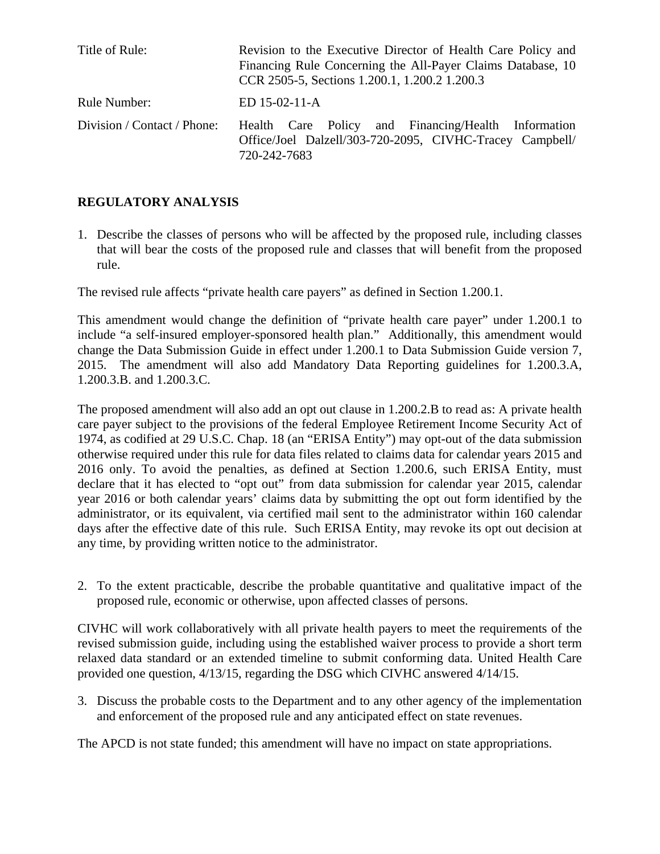| Title of Rule:              | Revision to the Executive Director of Health Care Policy and<br>Financing Rule Concerning the All-Payer Claims Database, 10<br>CCR 2505-5, Sections 1.200.1, 1.200.2 1.200.3 |
|-----------------------------|------------------------------------------------------------------------------------------------------------------------------------------------------------------------------|
| Rule Number:                | $ED 15-02-11-A$                                                                                                                                                              |
| Division / Contact / Phone: | Health Care Policy and Financing/Health Information<br>Office/Joel Dalzell/303-720-2095, CIVHC-Tracey Campbell/<br>720-242-7683                                              |

# **REGULATORY ANALYSIS**

1. Describe the classes of persons who will be affected by the proposed rule, including classes that will bear the costs of the proposed rule and classes that will benefit from the proposed rule.

The revised rule affects "private health care payers" as defined in Section 1.200.1.

This amendment would change the definition of "private health care payer" under 1.200.1 to include "a self-insured employer-sponsored health plan." Additionally, this amendment would change the Data Submission Guide in effect under 1.200.1 to Data Submission Guide version 7, 2015. The amendment will also add Mandatory Data Reporting guidelines for 1.200.3.A, 1.200.3.B. and 1.200.3.C.

The proposed amendment will also add an opt out clause in 1.200.2.B to read as: A private health care payer subject to the provisions of the federal Employee Retirement Income Security Act of 1974, as codified at 29 U.S.C. Chap. 18 (an "ERISA Entity") may opt-out of the data submission otherwise required under this rule for data files related to claims data for calendar years 2015 and 2016 only. To avoid the penalties, as defined at Section 1.200.6, such ERISA Entity, must declare that it has elected to "opt out" from data submission for calendar year 2015, calendar year 2016 or both calendar years' claims data by submitting the opt out form identified by the administrator, or its equivalent, via certified mail sent to the administrator within 160 calendar days after the effective date of this rule. Such ERISA Entity, may revoke its opt out decision at any time, by providing written notice to the administrator.

2. To the extent practicable, describe the probable quantitative and qualitative impact of the proposed rule, economic or otherwise, upon affected classes of persons.

CIVHC will work collaboratively with all private health payers to meet the requirements of the revised submission guide, including using the established waiver process to provide a short term relaxed data standard or an extended timeline to submit conforming data. United Health Care provided one question, 4/13/15, regarding the DSG which CIVHC answered 4/14/15.

3. Discuss the probable costs to the Department and to any other agency of the implementation and enforcement of the proposed rule and any anticipated effect on state revenues.

The APCD is not state funded; this amendment will have no impact on state appropriations.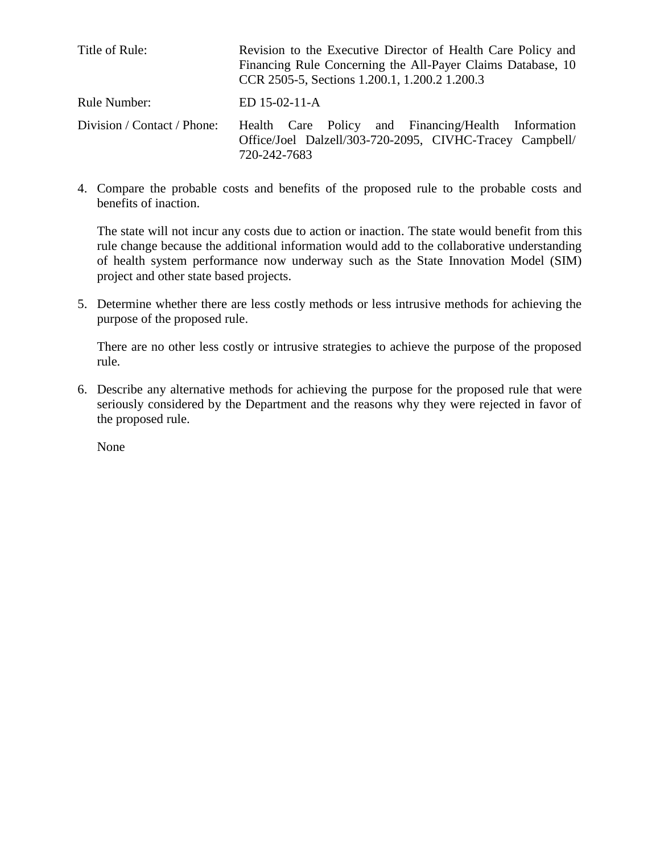| Title of Rule:              | Revision to the Executive Director of Health Care Policy and<br>Financing Rule Concerning the All-Payer Claims Database, 10<br>CCR 2505-5, Sections 1.200.1, 1.200.2 1.200.3 |
|-----------------------------|------------------------------------------------------------------------------------------------------------------------------------------------------------------------------|
| Rule Number:                | $ED 15-02-11-A$                                                                                                                                                              |
| Division / Contact / Phone: | Health Care Policy and Financing/Health Information<br>Office/Joel Dalzell/303-720-2095, CIVHC-Tracey Campbell/<br>720-242-7683                                              |

4. Compare the probable costs and benefits of the proposed rule to the probable costs and benefits of inaction.

The state will not incur any costs due to action or inaction. The state would benefit from this rule change because the additional information would add to the collaborative understanding of health system performance now underway such as the State Innovation Model (SIM) project and other state based projects.

5. Determine whether there are less costly methods or less intrusive methods for achieving the purpose of the proposed rule.

There are no other less costly or intrusive strategies to achieve the purpose of the proposed rule.

6. Describe any alternative methods for achieving the purpose for the proposed rule that were seriously considered by the Department and the reasons why they were rejected in favor of the proposed rule.

None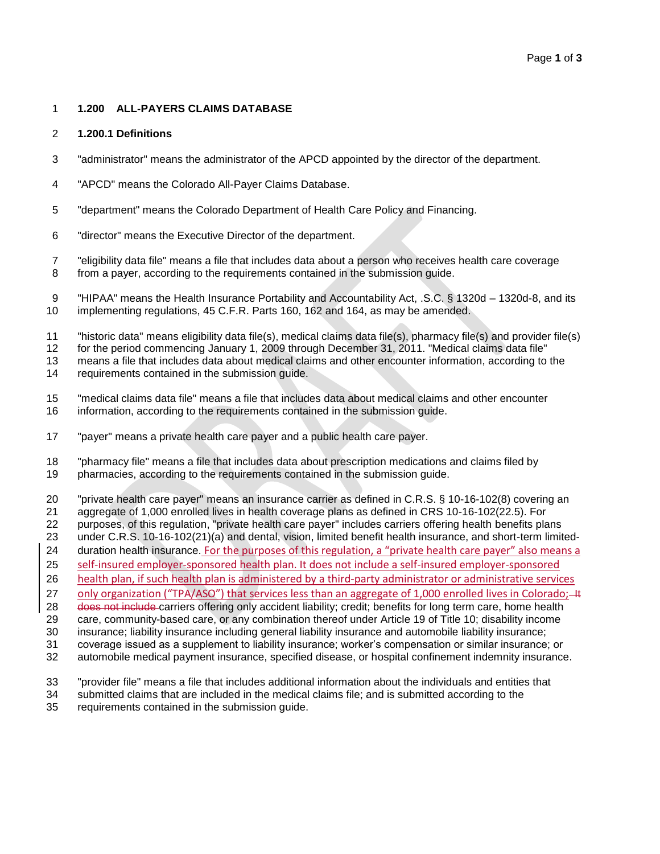### **1.200 ALL-PAYERS CLAIMS DATABASE**

#### **1.200.1 Definitions**

- "administrator" means the administrator of the APCD appointed by the director of the department.
- "APCD" means the Colorado All-Payer Claims Database.
- "department" means the Colorado Department of Health Care Policy and Financing.
- "director" means the Executive Director of the department.
- "eligibility data file" means a file that includes data about a person who receives health care coverage from a payer, according to the requirements contained in the submission guide.
- "HIPAA" means the Health Insurance Portability and Accountability Act, .S.C. § 1320d 1320d-8, and its implementing regulations, 45 C.F.R. Parts 160, 162 and 164, as may be amended.
- "historic data" means eligibility data file(s), medical claims data file(s), pharmacy file(s) and provider file(s)
- for the period commencing January 1, 2009 through December 31, 2011. "Medical claims data file"

means a file that includes data about medical claims and other encounter information, according to the

- requirements contained in the submission guide.
- "medical claims data file" means a file that includes data about medical claims and other encounter information, according to the requirements contained in the submission guide.
- "payer" means a private health care payer and a public health care payer.
- "pharmacy file" means a file that includes data about prescription medications and claims filed by
- pharmacies, according to the requirements contained in the submission guide.
- "private health care payer" means an insurance carrier as defined in C.R.S. § 10-16-102(8) covering an
- aggregate of 1,000 enrolled lives in health coverage plans as defined in CRS 10-16-102(22.5). For
- purposes, of this regulation, "private health care payer" includes carriers offering health benefits plans
- under C.R.S. 10-16-102(21)(a) and dental, vision, limited benefit health insurance, and short-term limited-
- duration health insurance. For the purposes of this regulation, a "private health care payer" also means a
- self-insured employer-sponsored health plan. It does not include a self-insured employer-sponsored
- health plan, if such health plan is administered by a third-party administrator or administrative services
- 27 only organization ("TPA/ASO") that services less than an aggregate of 1,000 enrolled lives in Colorado; 4t
- 28 does not include carriers offering only accident liability; credit; benefits for long term care, home health care, community-based care, or any combination thereof under Article 19 of Title 10; disability income
- insurance; liability insurance including general liability insurance and automobile liability insurance;
- coverage issued as a supplement to liability insurance; worker's compensation or similar insurance; or
- automobile medical payment insurance, specified disease, or hospital confinement indemnity insurance.
- "provider file" means a file that includes additional information about the individuals and entities that
- submitted claims that are included in the medical claims file; and is submitted according to the requirements contained in the submission guide.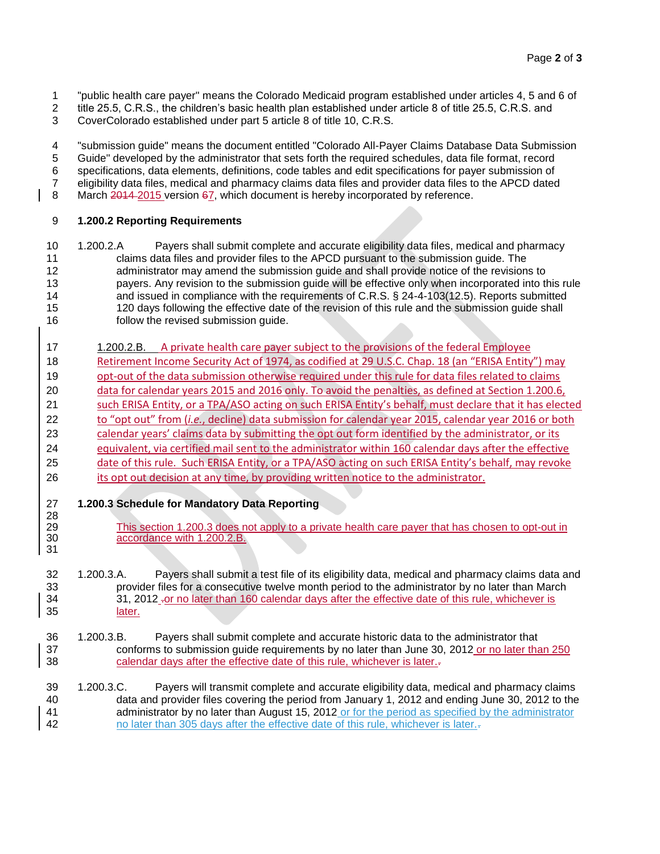- 1 "public health care payer" means the Colorado Medicaid program established under articles 4, 5 and 6 of 2<br>1 title 25.5, C.R.S., the children's basic health plan established under article 8 of title 25.5, C.R.S. and
- title 25.5, C.R.S., the children's basic health plan established under article 8 of title 25.5, C.R.S. and
- CoverColorado established under part 5 article 8 of title 10, C.R.S.

 "submission guide" means the document entitled "Colorado All-Payer Claims Database Data Submission Guide" developed by the administrator that sets forth the required schedules, data file format, record specifications, data elements, definitions, code tables and edit specifications for payer submission of 7 eligibility data files, medical and pharmacy claims data files and provider data files to the APCD dated<br>8 March 2014-2015 version 67, which document is hereby incorporated by reference.

March  $\frac{2014}{2015}$  version  $\frac{67}{100}$ , which document is hereby incorporated by reference.

### **1.200.2 Reporting Requirements**

- 1.200.2.A Payers shall submit complete and accurate eligibility data files, medical and pharmacy claims data files and provider files to the APCD pursuant to the submission guide. The administrator may amend the submission guide and shall provide notice of the revisions to payers. Any revision to the submission guide will be effective only when incorporated into this rule and issued in compliance with the requirements of C.R.S. § 24-4-103(12.5). Reports submitted 120 days following the effective date of the revision of this rule and the submission guide shall follow the revised submission guide.
- 1.200.2.B. A private health care payer subject to the provisions of the federal Employee 18 Retirement Income Security Act of 1974, as codified at 29 U.S.C. Chap. 18 (an "ERISA Entity") may opt-out of the data submission otherwise required under this rule for data files related to claims 20 data for calendar years 2015 and 2016 only. To avoid the penalties, as defined at Section 1.200.6, such ERISA Entity, or a TPA/ASO acting on such ERISA Entity's behalf, must declare that it has elected to "opt out" from (*i.e.*, decline) data submission for calendar year 2015, calendar year 2016 or both calendar years' claims data by submitting the opt out form identified by the administrator, or its equivalent, via certified mail sent to the administrator within 160 calendar days after the effective 25 date of this rule. Such ERISA Entity, or a TPA/ASO acting on such ERISA Entity's behalf, may revoke 26 its opt out decision at any time, by providing written notice to the administrator.
- **1.200.3 Schedule for Mandatory Data Reporting** 28<br>29

- This section 1.200.3 does not apply to a private health care payer that has chosen to opt-out in accordance with 1.200.2.B.
- 1.200.3.A. Payers shall submit a test file of its eligibility data, medical and pharmacy claims data and provider files for a consecutive twelve month period to the administrator by no later than March 34 31, 2012 -or no later than 160 calendar days after the effective date of this rule, whichever is later.
- 1.200.3.B. Payers shall submit complete and accurate historic data to the administrator that conforms to submission guide requirements by no later than June 30, 2012 or no later than 250 38 calendar days after the effective date of this rule, whichever is later.
- 1.200.3.C. Payers will transmit complete and accurate eligibility data, medical and pharmacy claims data and provider files covering the period from January 1, 2012 and ending June 30, 2012 to the administrator by no later than August 15, 2012 or for the period as specified by the administrator no later than 305 days after the effective date of this rule, whichever is later..